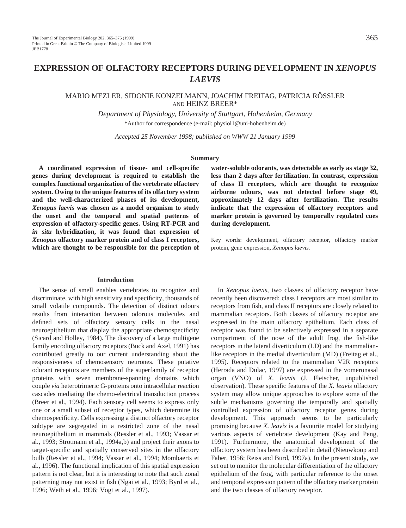# **EXPRESSION OF OLFACTORY RECEPTORS DURING DEVELOPMENT IN** *XENOPUS LAEVIS*

# MARIO MEZLER, SIDONIE KONZELMANN, JOACHIM FREITAG, PATRICIA RÖSSLER AND HEINZ BREER\*

*Department of Physiology, University of Stuttgart, Hohenheim, Germany* \*Author for correspondence (e-mail: physiol1@uni-hohenheim.de)

*Accepted 25 November 1998; published on WWW 21 January 1999*

## **Summary**

**A coordinated expression of tissue- and cell-specific genes during development is required to establish the complex functional organization of the vertebrate olfactory system. Owing to the unique features of its olfactory system and the well-characterized phases of its development,** *Xenopus laevis* **was chosen as a model organism to study the onset and the temporal and spatial patterns of expression of olfactory-specific genes. Using RT-PCR and** *in situ* **hybridization, it was found that expression of** *Xenopus* **olfactory marker protein and of class I receptors, which are thought to be responsible for the perception of**

#### **Introduction**

The sense of smell enables vertebrates to recognize and discriminate, with high sensitivity and specificity, thousands of small volatile compounds. The detection of distinct odours results from interaction between odorous molecules and defined sets of olfactory sensory cells in the nasal neuroepithelium that display the appropriate chemospecificity (Sicard and Holley, 1984). The discovery of a large multigene family encoding olfactory receptors (Buck and Axel, 1991) has contributed greatly to our current understanding about the responsiveness of chemosensory neurones. These putative odorant receptors are members of the superfamily of receptor proteins with seven membrane-spanning domains which couple *via* heterotrimeric G-proteins onto intracellular reaction cascades mediating the chemo-electrical transduction process (Breer et al., 1994). Each sensory cell seems to express only one or a small subset of receptor types, which determine its chemospecificity. Cells expressing a distinct olfactory receptor subtype are segregated in a restricted zone of the nasal neuroepithelium in mammals (Ressler et al., 1993; Vassar et al., 1993; Strotmann et al., 1994a,b) and project their axons to target-specific and spatially conserved sites in the olfactory bulb (Ressler et al., 1994; Vassar et al., 1994; Mombaerts et al., 1996). The functional implication of this spatial expression pattern is not clear, but it is interesting to note that such zonal patterning may not exist in fish (Ngai et al., 1993; Byrd et al., 1996; Weth et al., 1996; Vogt et al., 1997).

**water-soluble odorants, was detectable as early as stage 32, less than 2 days after fertilization. In contrast, expression of class II receptors, which are thought to recognize airborne odours, was not detected before stage 49, approximately 12 days after fertilization. The results indicate that the expression of olfactory receptors and marker protein is governed by temporally regulated cues during development.**

Key words: development, olfactory receptor, olfactory marker protein, gene expression, *Xenopus laevis.*

In *Xenopus laevis*, two classes of olfactory receptor have recently been discovered; class I receptors are most similar to receptors from fish, and class II receptors are closely related to mammalian receptors. Both classes of olfactory receptor are expressed in the main olfactory epithelium. Each class of receptor was found to be selectively expressed in a separate compartment of the nose of the adult frog, the fish-like receptors in the lateral diverticulum (LD) and the mammalianlike receptors in the medial diverticulum (MD) (Freitag et al., 1995). Receptors related to the mammalian V2R receptors (Herrada and Dulac, 1997) are expressed in the vomeronasal organ (VNO) of *X. leavis* (J. Fleischer, unpublished observation). These specific features of the *X. leavis* olfactory system may allow unique approaches to explore some of the subtle mechanisms governing the temporally and spatially controlled expression of olfactory receptor genes during development. This approach seems to be particularly promising because *X. leavis* is a favourite model for studying various aspects of vertebrate development (Kay and Peng, 1991). Furthermore, the anatomical development of the olfactory system has been described in detail (Nieuwkoop and Faber, 1956; Reiss and Burd, 1997a). In the present study, we set out to monitor the molecular differentiation of the olfactory epithelium of the frog, with particular reference to the onset and temporal expression pattern of the olfactory marker protein and the two classes of olfactory receptor.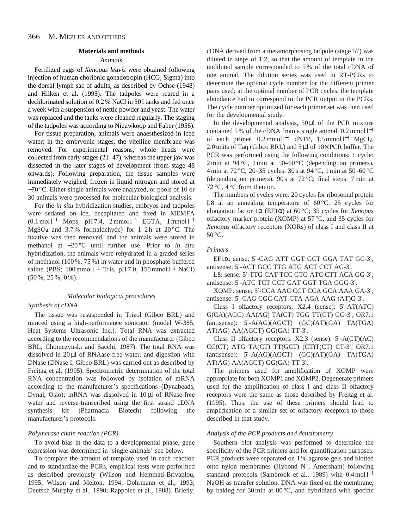# **Materials and methods**

### *Animals*

Fertilized eggs of *Xenopus leavis* were obtained following injection of human chorionic gonadotropin (HCG; Sigma) into the dorsal lymph sac of adults, as described by Ochse (1948) and Hilken et al. (1995). The tadpoles were reared in a dechlorinated solution of 0.2 % NaCl in 501 tanks and fed once a week with a suspension of nettle powder and yeast. The water was replaced and the tanks were cleaned regularly. The staging of the tadpoles was according to Nieuwkoop and Faber (1956).

For tissue preparation, animals were anaesthesized in iced water; in the embryonic stages, the vitelline membrane was removed. For experimental reasons, whole heads were collected from early stages (21–47), whereas the upper jaw was dissected in the later stages of development (from stage 48 onwards). Following preparation, the tissue samples were immediately weighed, frozen in liquid nitrogen and stored at −70 °C. Either single animals were analyzed, or pools of 10 or 30 animals were processed for molecular biological analysis.

For the *in situ* hybridization studies, embryos and tadpoles were sedated on ice, decapitated and fixed in MEMFA  $(0.1 \text{ mol }$ <sup>-1</sup> Mops, pH 7.4, 2 mmol l<sup>-1</sup> EGTA, 1 mmol l<sup>-1</sup> MgSO<sub>4</sub> and 3.7% formaldehyde) for  $1-2h$  at  $20^{\circ}$ C. The fixative was then removed, and the animals were stored in methanol at −20 °C until further use. Prior to *in situ* hybridization, the animals were rehydrated in a graded series of methanol (100 %, 75 %) in water and in phosphate-buffered saline (PBS;  $100 \text{ mmol } 1^{-1}$  Tris, pH 7.0,  $150 \text{ mmol } 1^{-1}$  NaCl) (50 %, 25 %, 0 %).

# *Molecular biological procedures*

#### *Synthesis of cDNA*

The tissue was resuspended in Trizol (Gibco BRL) and minced using a high-performance sonicator (model W-385, Heat Systems Ultrasonic Inc.). Total RNA was extracted according to the recommendations of the manufacturer (Gibco BRL; Chomczynski and Sacchi, 1987). The total RNA was dissolved in 20 µl of RNAase-free water, and digestion with DNase (DNase I, Gibco BRL) was carried out as described by Freitag et al. (1995). Spectrometric determination of the total RNA concentration was followed by isolation of mRNA according to the manufacturer's specifications (Dynabeads, Dynal, Oslo); mRNA was dissolved in 10 µl of RNase-free water and reverse-transcribed using the first strand cDNA synthesis kit (Pharmacia Biotech) following the manufacturer's protocols.

#### *Polymerase chain reaction (PCR)*

To avoid bias in the data to a developmental phase, gene expression was determined in 'single animals' see below.

To compare the amount of template used in each reaction and to standardize the PCRs, empirical tests were performed as described previously (Wilson and Hemmati-Brivanlou, 1995; Wilson and Melton, 1994; Dohrmann et al., 1993; Deutsch Murphy et al., 1990; Rappolee et al., 1988). Briefly, cDNA derived from a metamorphosing tadpole (stage 57) was diluted in steps of 1:2, so that the amount of template in the undiluted sample corresponded to 5 % of the total cDNA of one animal. The dilution series was used in RT-PCRs to determine the optimal cycle number for the different primer pairs used; at the optimal number of PCR cycles, the template abundance had to correspond to the PCR output in the PCRs. The cycle number optimized for each primer set was then used for the developmental study.

In the developmental analysis,  $50 \mu l$  of the PCR mixture contained 5 % of the cDNA from a single animal, 0.2 mmol l−<sup>1</sup> of each primer,  $0.2 \text{mmol } 1^{-1}$  dNTP,  $1.5 \text{mmol } 1^{-1}$  MgCl<sub>2</sub>, 2.0 units of Taq (Gibco BRL) and 5 µl of 10× PCR buffer. The PCR was performed using the following conditions: 1 cycle: 2 min at  $94^{\circ}$ C, 2 min at  $50-60^{\circ}$ C (depending on primers), 4 min at 72 °C; 20–35 cycles: 30 s at 94 °C, 1 min at 50–60 °C (depending on primers), 90 s at  $72^{\circ}$ C; final steps: 7 min at 72 °C, 4 °C from then on.

The numbers of cycles were: 20 cycles for ribosomal protein L8 at an annealing temperature of  $60^{\circ}$ C; 25 cycles for elongation factor 1α (EF1α) at 60 °C; 35 cycles for *Xenopus* olfactory marker protein (XOMP) at 57 °C, and 35 cycles for *Xenopus* olfactory receptors (XORs) of class I and class II at  $50^{\circ}$ C.

# *Primers*

EF1α: sense: 5′-CAG ATT GGT GCT GGA TAT GC-3′; antisense: 5′-ACT GCC TTG ATG ACT CCT AG-3′.

L8: sense: 5′-TTG CAT TCC GTG ATC CTT ACA GG-3′; antisense: 5′-ATC TCT CCT GAT GGT TGA GGG-3′.

XOMP: sense: 5′-CCA AAC CCT CCA GCA AAA GA-3′; antisense: 5′-CAG CGC CAT CTA AGA AAG (AT)G-3′.

Class I olfactory receptors: X2.4 (sense): 5′-AT(ATC) G(CA)(AGC) AA(AG) TA(CT) TGG TT(CT) GG-3′; OR7.1 (antisense):  $5'$ -A(AG)(AGCT) (GC)(AT)(GA) TA(TGA) AT(AG) AA(AGCT) GG(GA) TT-3′.

Class II olfactory receptors: X2.3 (sense): 5′-A(CT)(AC) CC(CT) ATG TA(CT) TT(GCT) (CT)T(CT) CT-3′; OR7.1 (antisense):  $5'$ -A(AG)(AGCT) (GC)(AT)(GA) TA(TGA) AT(AG) AA(AGCT) GG(GA) TT 3′.

The primers used for amplification of XOMP were appropriate for both XOMP1 and XOMP2. Degenerate primers used for the amplification of class I and class II olfactory receptors were the same as those described by Freitag et al. (1995). Thus, the use of these primers should lead to amplification of a similar set of olfactory receptors to those described in that study.

# *Analysis of the PCR products and densitometry*

Southern blot analysis was performed to determine the specificity of the PCR primers and for quantification purposes. PCR products were separated on 1 % agarose gels and blotted onto nylon membranes (Hybond  $N^+$ , Amersham) following standard protocols (Sambrook et al., 1989) with  $0.4 \text{ mol}$ <sup>-1</sup> NaOH as transfer solution. DNA was fixed on the membrane, by baking for 30 min at 80 °C, and hybridized with specific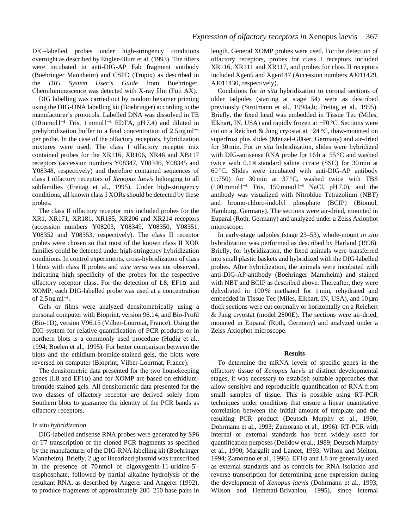DIG-labelled probes under high-stringency conditions overnight as described by Engler-Blum et al. (1993). The filters were incubated in anti-DIG-AP Fab fragment antibody (Boehringer Mannheim) and CSPD (Tropix) as described in the *DIG System User's Guide* from Boehringer. Chemiluminescence was detected with X-ray film (Fuji AX).

DIG labelling was carried out by random hexamer priming using the DIG-DNA labelling kit (Boehringer) according to the manufacturer's protocols. Labelled DNA was dissolved in TE (10 mmol l−<sup>1</sup> Tris, 1 mmol l−<sup>1</sup> EDTA, pH 7.4) and diluted in prehybridization buffer to a final concentration of 2.5 ng ml<sup>-1</sup> per probe. In the case of the olfactory receptors, hybridization mixtures were used. The class I olfactory receptor mix contained probes for the XR116, XR106, XR46 and XB117 receptors (accession numbers Y08347, Y08346, Y08345 and Y08348, respectively) and therefore contained sequences of class I olfactory receptors of *Xenopus laevis* belonging to all subfamilies (Freitag et al., 1995). Under high-stringency conditions, all known class I XORs should be detected by these probes.

The class II olfactory receptor mix included probes for the XR1, XR171, XR181, XR185, XR206 and XR214 receptors (accession numbers Y08203, Y08349, Y08350, Y08351, Y08352 and Y08353, respectively). The class II receptor probes were chosen so that most of the known class II XOR families could be detected under high-stringency hybridization conditions. In control experiments, cross-hybridization of class I blots with class II probes and *vice versa* was not observed, indicating high specificity of the probes for the respective olfactory receptor class. For the detection of L8,  $EFi\alpha$  and XOMP, each DIG-labelled probe was used at a concentration of 2.5 ng ml<sup>-1</sup>.

Gels or films were analyzed densitometrically using a personal computer with Bioprint, version 96.14, and Bio-Profil (Bio-1D), version V96.15 (Vilber-Lourmat, France). Using the DIG system for relative quantification of PCR products or in northern blots is a commonly used procedure (Hudig et al., 1994; Boelen et al., 1995). For better comparison between the blots and the ethidium-bromide-stained gels, the blots were reversed on computer (Bioprint, Vilber-Lourmat, France).

The densitometric data presented for the two housekeeping genes (L8 and EF1α) and for XOMP are based on ethidiumbromide-stained gels. All densitometric data presented for the two classes of olfactory receptor are derived solely from Southern blots to guarantee the identity of the PCR bands as olfactory receptors.

# In situ *hybridization*

DIG-labelled antisense RNA probes were generated by SP6 or T7 transcription of the cloned PCR fragments as specified by the manufacturer of the DIG-RNA labelling kit (Boehringer Mannheim). Briefly, 2 µg of linearized plasmid was transcribed in the presence of 70 nmol of digoxygenin-11-uridine-5′ trisphosphate, followed by partial alkaline hydrolysis of the resultant RNA, as described by Angerer and Angerer (1992), to produce fragments of approximately 200–250 base pairs in length. General XOMP probes were used. For the detection of olfactory receptors, probes for class I receptors included XR116, XR111 and XR117, and probes for class II receptors included Xgen5 and Xgen147 (Accession numbers AJ011429, AJ011430, respectively).

Conditions for *in situ* hybridization to coronal sections of older tadpoles (starting at stage 54) were as described previously (Strotmann et al., 1994a,b; Freitag et al., 1995). Briefly, the fixed head was embedded in Tissue Tec (Miles, Elkhart, IN, USA) and rapidly frozen at −70 °C. Sections were cut on a Reichert & Jung cryostat at −24 °C, thaw-mounted on superfrost plus slides (Menzel-Gläser, Germany) and air-dried for 30 min. For *in situ* hybridization, slides were hybridized with DIG-antisense RNA probe for 16h at 55 °C and washed twice with  $0.1 \times$  standard saline citrate (SSC) for 30 min at 60 °C. Slides were incubated with anti-DIG-AP antibody (1:750) for 30 min at 37 °C, washed twice with TBS  $(100 \text{ mmol } 1^{-1}$  Tris, 150 mmol  $1^{-1}$  NaCl, pH 7.0), and the antibody was visualized with Nitroblue Tetrazolium (NBT) and bromo-chloro-indolyl phosphate (BCIP) (Biomol, Hamburg, Germany). The sections were air-dried, mounted in Euparal (Roth, Germany) and analyzed under a Zeiss Axiophot microscope.

In early-stage tadpoles (stage 23–53), whole-mount *in situ* hybridization was performed as described by Harland (1996). Briefly, for hybridization, the fixed animals were transferred into small plastic baskets and hybridized with the DIG-labelled probes. After hybridization, the animals were incubated with anti-DIG-AP-antibody (Boehringer Mannheim) and stained with NBT and BCIP as described above. Thereafter, they were dehydrated in 100 % methanol for 1 min, rehydrated and embedded in Tissue Tec (Miles, Elkhart, IN, USA), and  $10 \mu m$ thick sections were cut coronally or horizontally on a Reichert & Jung cryostat (model 2800E). The sections were air-dried, mounted in Euparal (Roth, Germany) and analyzed under a Zeiss Axiophot microscope.

# **Results**

To determine the mRNA levels of specific genes in the olfactory tissue of *Xenopus laevis* at distinct developmental stages, it was necessary to establish suitable approaches that allow sensitive and reproducible quantification of RNA from small samples of tissue. This is possible using RT-PCR techniques under conditions that ensure a linear quantitative correlation between the initial amount of template and the resulting PCR product (Deutsch Murphy et al., 1990; Dohrmann et al., 1993; Zamorano et al., 1996). RT-PCR with internal or external standards has been widely used for quantification purposes (Delidow et al., 1989; Deutsch Murphy et al., 1990; Margalit and Lancet, 1993; Wilson and Melton, 1994; Zamorano et al., 1996). EF1 $\alpha$  and L8 are generally used as external standards and as controls for RNA isolation and reverse transcription for determining gene expression during the development of *Xenopus laevis* (Dohrmann et al., 1993; Wilson and Hemmati-Brivanlou, 1995), since internal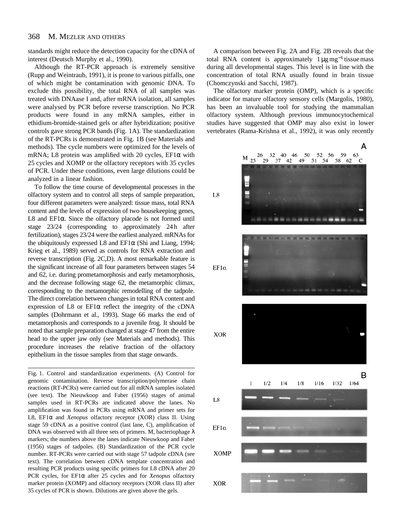#### 368 M. MEZLER AND OTHERS

standards might reduce the detection capacity for the cDNA of interest (Deutsch Murphy et al., 1990).

Although the RT-PCR approach is extremely sensitive (Rupp and Weintraub, 1991), it is prone to various pitfalls, one of which might be contamination with genomic DNA. To exclude this possibility, the total RNA of all samples was treated with DNAase I and, after mRNA isolation, all samples were analysed by PCR before reverse transcription. No PCR products were found in any mRNA samples, either in ethidium-bromide-stained gels or after hybridization; positive controls gave strong PCR bands (Fig. 1A). The standardization of the RT-PCRs is demonstrated in Fig. 1B (see Materials and methods). The cycle numbers were optimized for the levels of mRNA; L8 protein was amplified with 20 cycles, EF1α with 25 cycles and XOMP or the olfactory receptors with 35 cycles of PCR. Under these conditions, even large dilutions could be analyzed in a linear fashion.

To follow the time course of developmental processes in the olfactory system and to control all steps of sample preparation, four different parameters were analyzed: tissue mass, total RNA content and the levels of expression of two housekeeping genes, L8 and EF1α. Since the olfactory placode is not formed until stage 23/24 (corresponding to approximately 24h after fertilization), stages 23/24 were the earliest analyzed. mRNAs for the ubiquitously expressed L8 and EF1 $\alpha$  (Shi and Liang, 1994; Krieg et al., 1989) served as controls for RNA extraction and reverse transcription (Fig. 2C,D). A most remarkable feature is the significant increase of all four parameters between stages 54 and 62, i.e. during prometamorphosis and early metamorphosis, and the decrease following stage 62, the metamorphic climax, corresponding to the metamorphic remodelling of the tadpole. The direct correlation between changes in total RNA content and expression of L8 or  $EFi\alpha$  reflect the integrity of the cDNA samples (Dohrmann et al., 1993). Stage 66 marks the end of metamorphosis and corresponds to a juvenile frog. It should be noted that sample preparation changed at stage 47 from the entire head to the upper jaw only (see Materials and methods). This procedure increases the relative fraction of the olfactory epithelium in the tissue samples from that stage onwards.

Fig. 1. Control and standardization experiments. (A) Control for genomic contamination. Reverse transcription/polymerase chain reactions (RT-PCRs) were carried out for all mRNA samples isolated (see text). The Nieuwkoop and Faber (1956) stages of animal samples used in RT-PCRs are indicated above the lanes. No amplification was found in PCRs using mRNA and primer sets for L8, EF1α and *Xenopus* olfactory receptor (XOR) class II. Using stage 59 cDNA as a positive control (last lane, C), amplification of DNA was observed with all three sets of primers. M, bacteriophage  $\lambda$ markers; the numbers above the lanes indicate Nieuwkoop and Faber (1956) stages of tadpoles. (B) Standardization of the PCR cycle number. RT-PCRs were carried out with stage 57 tadpole cDNA (see text). The correlation between cDNA template concentration and resulting PCR products using specific primers for L8 cDNA after 20 PCR cycles, for EF1α after 25 cycles and for *Xenopus* olfactory marker protein (XOMP) and olfactory receptors (XOR class II) after 35 cycles of PCR is shown. Dilutions are given above the gels.

A comparison between Fig. 2A and Fig. 2B reveals that the total RNA content is approximately  $1 \mu g mg^{-1}$  tissue mass during all developmental stages. This level is in line with the concentration of total RNA usually found in brain tissue (Chomczynski and Sacchi, 1987).

The olfactory marker protein (OMP), which is a specific indicator for mature olfactory sensory cells (Margolis, 1980), has been an invaluable tool for studying the mammalian olfactory system. Although previous immunocytochemical studies have suggested that OMP may also exist in lower vertebrates (Rama-Krishna et al., 1992), it was only recently

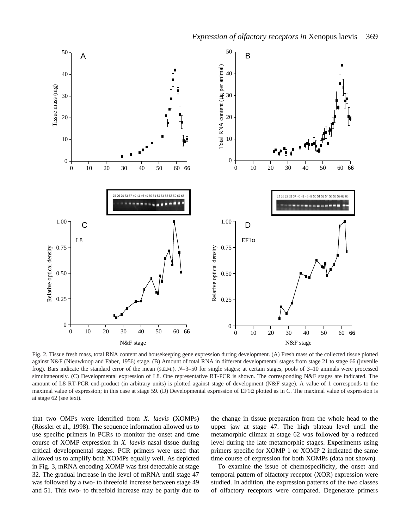

Fig. 2. Tissue fresh mass, total RNA content and housekeeping gene expression during development. (A) Fresh mass of the collected tissue plotted against N&F (Nieuwkoop and Faber, 1956) stage. (B) Amount of total RNA in different developmental stages from stage 21 to stage 66 (juvenile frog). Bars indicate the standard error of the mean (S.E.M.). *N*=3–50 for single stages; at certain stages, pools of 3–10 animals were processed simultaneously. (C) Developmental expression of L8. One representative RT-PCR is shown. The corresponding N&F stages are indicated. The amount of L8 RT-PCR end-product (in arbitrary units) is plotted against stage of development (N&F stage). A value of 1 corresponds to the maximal value of expression; in this case at stage 59. (D) Developmental expression of  $EFi\alpha$  plotted as in C. The maximal value of expression is at stage 62 (see text).

that two OMPs were identified from *X. laevis* (XOMPs) (Rössler et al., 1998). The sequence information allowed us to use specific primers in PCRs to monitor the onset and time course of XOMP expression in *X. laevis* nasal tissue during critical developmental stages. PCR primers were used that allowed us to amplify both XOMPs equally well. As depicted in Fig. 3, mRNA encoding XOMP was first detectable at stage 32. The gradual increase in the level of mRNA until stage 47 was followed by a two- to threefold increase between stage 49 and 51. This two- to threefold increase may be partly due to the change in tissue preparation from the whole head to the upper jaw at stage 47. The high plateau level until the metamorphic climax at stage 62 was followed by a reduced level during the late metamorphic stages. Experiments using primers specific for XOMP 1 or XOMP 2 indicated the same time course of expression for both XOMPs (data not shown).

To examine the issue of chemospecificity, the onset and temporal pattern of olfactory receptor (XOR) expression were studied. In addition, the expression patterns of the two classes of olfactory receptors were compared. Degenerate primers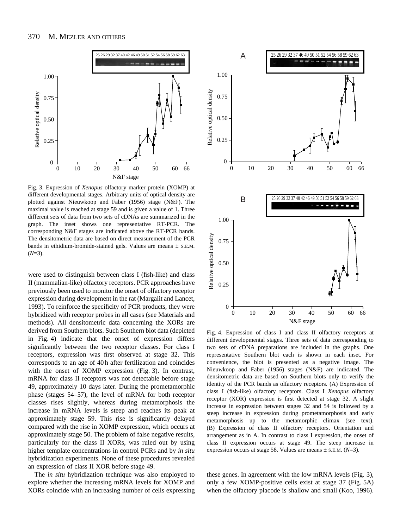

Fig. 3. Expression of *Xenopus* olfactory marker protein (XOMP) at different developmental stages. Arbitrary units of optical density are plotted against Nieuwkoop and Faber (1956) stage (N&F). The maximal value is reached at stage 59 and is given a value of 1. Three different sets of data from two sets of cDNAs are summarized in the graph. The inset shows one representative RT-PCR. The corresponding N&F stages are indicated above the RT-PCR bands. The densitometric data are based on direct measurement of the PCR bands in ethidium-bromide-stained gels. Values are means  $\pm$  s.E.M. (*N*=3).

were used to distinguish between class I (fish-like) and class II (mammalian-like) olfactory receptors. PCR approaches have previously been used to monitor the onset of olfactory receptor expression during development in the rat (Margalit and Lancet, 1993). To reinforce the specificity of PCR products, they were hybridized with receptor probes in all cases (see Materials and methods). All densitometric data concerning the XORs are derived from Southern blots. Such Southern blot data (depicted in Fig. 4) indicate that the onset of expression differs significantly between the two receptor classes. For class I receptors, expression was first observed at stage 32. This corresponds to an age of 40 h after fertilization and coincides with the onset of XOMP expression (Fig. 3). In contrast, mRNA for class II receptors was not detectable before stage 49, approximately 10 days later. During the prometamorphic phase (stages 54–57), the level of mRNA for both receptor classes rises slightly, whereas during metamorphosis the increase in mRNA levels is steep and reaches its peak at approximately stage 59. This rise is significantly delayed compared with the rise in XOMP expression, which occurs at approximately stage 50. The problem of false negative results, particularly for the class II XORs, was ruled out by using higher template concentrations in control PCRs and by *in situ* hybridization experiments. None of these procedures revealed an expression of class II XOR before stage 49.

The *in situ* hybridization technique was also employed to explore whether the increasing mRNA levels for XOMP and XORs coincide with an increasing number of cells expressing



Fig. 4. Expression of class I and class II olfactory receptors at different developmental stages. Three sets of data corresponding to two sets of cDNA preparations are included in the graphs. One representative Southern blot each is shown in each inset. For convenience, the blot is presented as a negative image. The Nieuwkoop and Faber (1956) stages (N&F) are indicated. The densitometric data are based on Southern blots only to verify the identity of the PCR bands as olfactory receptors. (A) Expression of class I (fish-like) olfactory receptors. Class I *Xenopus* olfactory receptor (XOR) expression is first detected at stage 32. A slight increase in expression between stages 32 and 54 is followed by a steep increase in expression during prometamorphosis and early metamorphosis up to the metamorphic climax (see text). (B) Expression of class II olfactory receptors. Orientation and arrangement as in A. In contrast to class I expression, the onset of class II expression occurs at stage 49. The steep increase in expression occurs at stage 58. Values are means ± S.E.M. (*N*=3).

these genes. In agreement with the low mRNA levels (Fig. 3), only a few XOMP-positive cells exist at stage 37 (Fig. 5A) when the olfactory placode is shallow and small (Koo, 1996).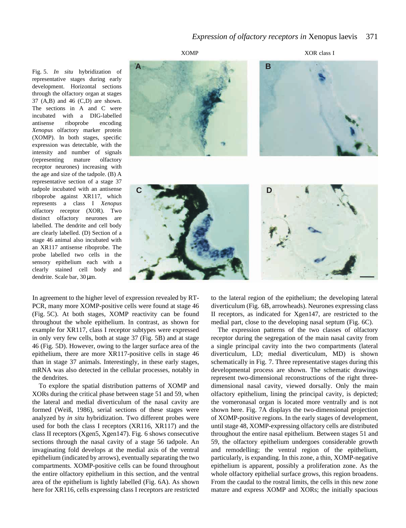Fig. 5. *In situ* hybridization of representative stages during early development. Horizontal sections through the olfactory organ at stages 37 (A,B) and 46 (C,D) are shown. The sections in A and C were incubated with a DIG-labelled antisense riboprobe encoding *Xenopus* olfactory marker protein (XOMP). In both stages, specific expression was detectable, with the intensity and number of signals (representing mature olfactory receptor neurones) increasing with the age and size of the tadpole. (B) A representative section of a stage 37 tadpole incubated with an antisense riboprobe against XR117, which represents a class I *Xenopus* olfactory receptor (XOR). Two distinct olfactory neurones are labelled. The dendrite and cell body are clearly labelled. (D) Section of a stage 46 animal also incubated with an XR117 antisense riboprobe. The probe labelled two cells in the sensory epithelium each with a clearly stained cell body and dendrite. Scale bar, 30 µm.



In agreement to the higher level of expression revealed by RT-PCR, many more XOMP-positive cells were found at stage 46 (Fig. 5C). At both stages, XOMP reactivity can be found throughout the whole epithelium. In contrast, as shown for example for XR117, class I receptor subtypes were expressed in only very few cells, both at stage 37 (Fig. 5B) and at stage 46 (Fig. 5D). However, owing to the larger surface area of the epithelium, there are more XR117-positive cells in stage 46 than in stage 37 animals. Interestingly, in these early stages, mRNA was also detected in the cellular processes, notably in the dendrites.

To explore the spatial distribution patterns of XOMP and XORs during the critical phase between stage 51 and 59, when the lateral and medial diverticulum of the nasal cavity are formed (Weiß, 1986), serial sections of these stages were analyzed by *in situ* hybridization. Two different probes were used for both the class I receptors (XR116, XR117) and the class II receptors (Xgen5, Xgen147). Fig. 6 shows consecutive sections through the nasal cavity of a stage 56 tadpole. An invaginating fold develops at the medial axis of the ventral epithelium (indicated by arrows), eventually separating the two compartments. XOMP-positive cells can be found throughout the entire olfactory epithelium in this section, and the ventral area of the epithelium is lightly labelled (Fig. 6A). As shown here for XR116, cells expressing class I receptors are restricted to the lateral region of the epithelium; the developing lateral diverticulum (Fig. 6B, arrowheads). Neurones expressing class II receptors, as indicated for Xgen147, are restricted to the medial part, close to the developing nasal septum (Fig. 6C).

The expression patterns of the two classes of olfactory receptor during the segregation of the main nasal cavity from a single principal cavity into the two compartments (lateral diverticulum, LD; medial diverticulum, MD) is shown schematically in Fig. 7. Three representative stages during this developmental process are shown. The schematic drawings represent two-dimensional reconstructions of the right threedimensional nasal cavity, viewed dorsally. Only the main olfactory epithelium, lining the principal cavity, is depicted; the vomeronasal organ is located more ventrally and is not shown here. Fig. 7A displays the two-dimensional projection of XOMP-positive regions. In the early stages of development, until stage 48, XOMP-expressing olfactory cells are distributed throughout the entire nasal epithelium. Between stages 51 and 59, the olfactory epithelium undergoes considerable growth and remodelling; the ventral region of the epithelium, particularly, is expanding. In this zone, a thin, XOMP-negative epithelium is apparent, possibly a proliferation zone. As the whole olfactory epithelial surface grows, this region broadens. From the caudal to the rostral limits, the cells in this new zone mature and express XOMP and XORs; the initially spacious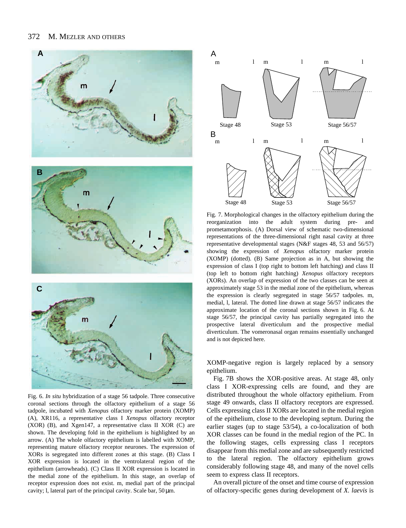#### 372 M. MEZLER AND OTHERS



Fig. 6. *In situ* hybridization of a stage 56 tadpole. Three consecutive coronal sections through the olfactory epithelium of a stage 56 tadpole, incubated with *Xenopus* olfactory marker protein (XOMP) (A), XR116, a representative class I *Xenopus* olfactory receptor (XOR) (B), and Xgen147, a representative class II XOR (C) are shown. The developing fold in the epithelium is highlighted by an arrow. (A) The whole olfactory epithelium is labelled with XOMP, representing mature olfactory receptor neurones. The expression of XORs is segregated into different zones at this stage. (B) Class I XOR expression is located in the ventrolateral region of the epithelium (arrowheads). (C) Class II XOR expression is located in the medial zone of the epithelium. In this stage, an overlap of receptor expression does not exist. m, medial part of the principal cavity; l, lateral part of the principal cavity. Scale bar, 50 µm.



Fig. 7. Morphological changes in the olfactory epithelium during the reorganization into the adult system during pre- and prometamorphosis. (A) Dorsal view of schematic two-dimensional representations of the three-dimensional right nasal cavity at three representative developmental stages (N&F stages 48, 53 and 56/57) showing the expression of *Xenopus* olfactory marker protein (XOMP) (dotted). (B) Same projection as in A, but showing the expression of class I (top right to bottom left hatching) and class II (top left to bottom right hatching) *Xenopus* olfactory receptors (XORs). An overlap of expression of the two classes can be seen at approximately stage 53 in the medial zone of the epithelium, whereas the expression is clearly segregated in stage 56/57 tadpoles. m, medial, l, lateral. The dotted line drawn at stage 56/57 indicates the approximate location of the coronal sections shown in Fig. 6. At stage 56/57, the principal cavity has partially segregated into the prospective lateral diverticulum and the prospective medial diverticulum. The vomeronasal organ remains essentially unchanged and is not depicted here.

XOMP-negative region is largely replaced by a sensory epithelium.

Fig. 7B shows the XOR-positive areas. At stage 48, only class I XOR-expressing cells are found, and they are distributed throughout the whole olfactory epithelium. From stage 49 onwards, class II olfactory receptors are expressed. Cells expressing class II XORs are located in the medial region of the epithelium, close to the developing septum. During the earlier stages (up to stage 53/54), a co-localization of both XOR classes can be found in the medial region of the PC. In the following stages, cells expressing class I receptors disappear from this medial zone and are subsequently restricted to the lateral region. The olfactory epithelium grows considerably following stage 48, and many of the novel cells seem to express class II receptors.

An overall picture of the onset and time course of expression of olfactory-specific genes during development of *X. laevis* is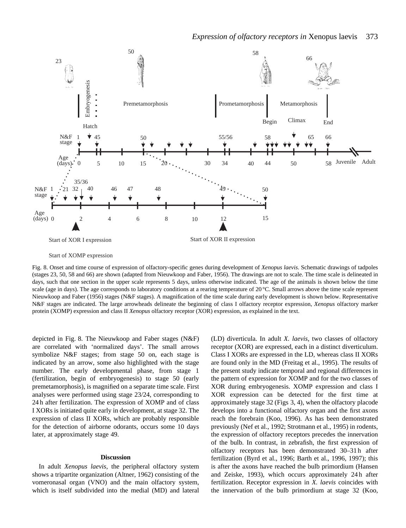

Start of XOMP expression

Fig. 8. Onset and time course of expression of olfactory-specific genes during development of *Xenopus laevis*. Schematic drawings of tadpoles (stages 23, 50, 58 and 66) are shown (adapted from Nieuwkoop and Faber, 1956). The drawings are not to scale. The time scale is delineated in days, such that one section in the upper scale represents 5 days, unless otherwise indicated. The age of the animals is shown below the time scale (age in days). The age corresponds to laboratory conditions at a rearing temperature of  $20^{\circ}$ C. Small arrows above the time scale represent Nieuwkoop and Faber (1956) stages (N&F stages). A magnification of the time scale during early development is shown below. Representative N&F stages are indicated. The large arrowheads delineate the beginning of class I olfactory receptor expression, *Xenopus* olfactory marker protein (XOMP) expression and class II *Xenopus* olfactory receptor (XOR) expression, as explained in the text.

depicted in Fig. 8. The Nieuwkoop and Faber stages (N&F) are correlated with 'normalized days'. The small arrows symbolize N&F stages; from stage 50 on, each stage is indicated by an arrow, some also highlighted with the stage number. The early developmental phase, from stage 1 (fertilization, begin of embryogenesis) to stage 50 (early premetamorphosis), is magnified on a separate time scale. First analyses were performed using stage 23/24, corresponding to 24 h after fertilization. The expression of XOMP and of class I XORs is initiated quite early in development, at stage 32. The expression of class II XORs, which are probably responsible for the detection of airborne odorants, occurs some 10 days later, at approximately stage 49.

### **Discussion**

In adult *Xenopus laevis*, the peripheral olfactory system shows a tripartite organization (Altner, 1962) consisting of the vomeronasal organ (VNO) and the main olfactory system, which is itself subdivided into the medial (MD) and lateral (LD) diverticula. In adult *X. laevis*, two classes of olfactory receptor (XOR) are expressed, each in a distinct diverticulum. Class I XORs are expressed in the LD, whereas class II XORs are found only in the MD (Freitag et al., 1995). The results of the present study indicate temporal and regional differences in the pattern of expression for XOMP and for the two classes of XOR during embryogenesis. XOMP expression and class I XOR expression can be detected for the first time at approximately stage 32 (Figs 3, 4), when the olfactory placode develops into a functional olfactory organ and the first axons reach the forebrain (Koo, 1996). As has been demonstrated previously (Nef et al., 1992; Strotmann et al., 1995) in rodents, the expression of olfactory receptors precedes the innervation of the bulb. In contrast, in zebrafish, the first expression of olfactory receptors has been demonstrated 30–31 h after fertilization (Byrd et al., 1996; Barth et al., 1996, 1997); this is after the axons have reached the bulb primordium (Hansen and Zeiske, 1993), which occurs approximately 24 h after fertilization. Receptor expression in *X. laevis* coincides with the innervation of the bulb primordium at stage 32 (Koo,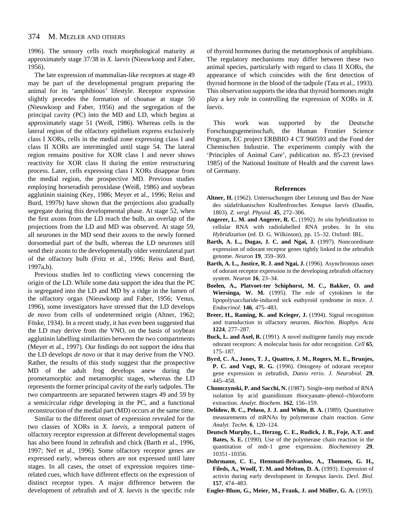1996). The sensory cells reach morphological maturity at approximately stage 37/38 in *X. laevis* (Nieuwkoop and Faber, 1956).

The late expression of mammalian-like receptors at stage 49 may be part of the developmental program preparing the animal for its 'amphibious' lifestyle. Receptor expression slightly precedes the formation of choanae at stage 50 (Nieuwkoop and Faber, 1956) and the segregation of the principal cavity (PC) into the MD and LD, which begins at approximately stage 51 (Weiß, 1986). Whereas cells in the lateral region of the olfactory epithelium express exclusively class I XORs, cells in the medial zone expressing class I and class II XORs are intermingled until stage 54. The lateral region remains positive for XOR class I and never shows reactivity for XOR class II during the entire restructuring process. Later, cells expressing class I XORs disappear from the medial region, the prospective MD. Previous studies employing horseradish peroxidase (Weiß, 1986) and soybean agglutinin staining (Key, 1986; Meyer et al., 1996; Reiss and Burd, 1997b) have shown that the projections also gradually segregate during this developmental phase. At stage 52, when the first axons from the LD reach the bulb, an overlap of the projections from the LD and MD was observed. At stage 59, all neurones in the MD send their axons to the newly formed dorsomedial part of the bulb, whereas the LD neurones still send their axons to the developmentally older ventrolateral part of the olfactory bulb (Fritz et al., 1996; Reiss and Burd, 1997a,b).

Previous studies led to conflicting views concerning the origin of the LD. While some data support the idea that the PC is segregated into the LD and MD by a ridge in the lumen of the olfactory organ (Nieuwkoop and Faber, 1956; Venus, 1996), some investigators have stressed that the LD develops *de novo* from cells of undetermined origin (Altner, 1962; Föske, 1934). In a recent study, it has even been suggested that the LD may derive from the VNO, on the basis of soybean agglutinin labelling similarities between the two compartments (Meyer et al., 1997). Our findings do not support the idea that the LD develops *de novo* or that it may derive from the VNO. Rather, the results of this study suggest that the prospective MD of the adult frog develops anew during the prometamorphic and metamorphic stages, whereas the LD represents the former principal cavity of the early tadpoles. The two compartments are separated between stages 49 and 59 by a semicircular ridge developing in the PC, and a functional reconstruction of the medial part (MD) occurs at the same time.

Similar to the different onset of expression revealed for the two classes of XORs in *X. laevis*, a temporal pattern of olfactory receptor expression at different developmental stages has also been found in zebrafish and chick (Barth et al., 1996, 1997; Nef et al., 1996). Some olfactory receptor genes are expressed early, whereas others are not expressed until later stages. In all cases, the onset of expression requires timerelated cues, which have different effects on the expression of distinct receptor types. A major difference between the development of zebrafish and of *X. laevis* is the specific role

of thyroid hormones during the metamorphosis of amphibians. The regulatory mechanisms may differ between these two animal species, particularly with regard to class II XORs, the appearance of which coincides with the first detection of thyroid hormone in the blood of the tadpole (Tata et al., 1993). This observation supports the idea that thyroid hormones might play a key role in controlling the expression of XORs in *X. laevis*.

This work was supported by the Deutsche Forschungsgemeinschaft, the Human Frontier Science Program, EC project ERBBIO 4 CT 960593 and the Fond der Chemischen Industrie. The experiments comply with the 'Principles of Animal Care', publication no. 85-23 (revised 1985) of the National Institute of Health and the current laws of Germany.

### **References**

- **Altner, H.** (1962). Untersuchungen über Leistung und Bau der Nase des südafrikanischen Krallenfrosches *Xenopus laevis* (Daudin, 1803). *Z. vergl. Physiol.* **45**, 272–306.
- **Angerer, L. M. and Angerer, R. C.** (1992). *In situ* hybridization to cellular RNA with radiolabelled RNA probes. In In situ *Hybridization* (ed. D. G. Wilkinson), pp. 15–32. Oxford: IRL.
- **Barth, A. L., Dugas, J. C. and Ngai, J.** (1997). Noncoordinate expression of odorant receptor genes tightly linked in the zebrafish genome. *Neuron* **19**, 359–369.
- **Barth, A. L., Justice, R. J. and Ngai, J.** (1996). Asynchronous onset of odorant receptor expression in the developing zebrafish olfactory system. *Neuron* **16**, 23–34.
- **Boelen, A., Platvoet-ter Schiphorst, M. C., Bakker, O. and Wiersinga, W. M.** (1995). The role of cytokines in the lipopolysaccharide-induced sick euthyroid syndrome in mice. *J. Endocrinol.* **146**, 475–483.
- **Breer, H., Raming, K. and Krieger, J.** (1994). Signal recognition and transduction in olfactory neurons. *Biochim. Biophys. Acta* **1224**, 277–287.
- **Buck, L. and Axel, R.** (1991). A novel multigene family may encode odorant receptors: A molecular basis for odor recognition. *Cell* **65**, 175–187.
- **Byrd, C. A., Jones, T. J., Quattro, J. M., Rogers, M. E., Brunjes, P. C. and Vogt, R. G.** (1996). Ontogeny of odorant receptor gene expression in zebrafish, *Danio rerio*. *J. Neurobiol.* **29**, 445–458.
- **Chomczynski, P. and Sacchi, N.** (1987). Single-step method of RNA isolation by acid guanidinium thiocyanate–phenol–chloroform extraction. *Analyt. Biochem.* **162**, 156–159.
- **Delidow, B. C., Peluso, J. J. and White, B. A.** (1989). Quantitative measurements of mRNAs by polymerase chain reaction. *Gene Analyt. Techn.* **6**, 120–124.
- **Deutsch Murphy, L., Herzog, C. E., Rudick, J. B., Foje, A.T. and Bates, S. E.** (1990). Use of the polymerase chain reaction in the quantitation of mdr-1 gene expression. *Biochemistry* **29**, 10351–10356.
- **Dohrmann, C. E., Hemmati-Brivanlou, A., Thomsen, G. H., Fileds, A., Woolf, T. M. and Melton, D. A.** (1993). Expression of activin during early development in *Xenopus laevis*. *Devl. Biol.* **157**, 474–483.
- **Engler-Blum, G., Meier, M., Frank, J. and Müller, G. A.** (1993).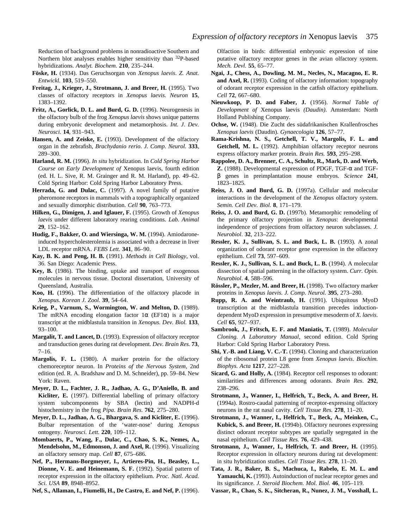Reduction of background problems in nonradioactive Southern and Northern blot analyses enables higher sensitivity than 32P-based hybridizations. *Analyt. Biochem*. **210**, 235–244.

- **Föske, H.** (1934). Das Geruchsorgan von *Xenopus laevis*. *Z. Anat. Entwickl.* **103**, 519–550.
- **Freitag, J., Krieger, J., Strotmann, J. and Breer, H.** (1995). Two classes of olfactory receptors in *Xenopus laevis*. *Neuron* **15**, 1383–1392.
- **Fritz, A., Gorlick, D. L. and Burd, G. D.** (1996). Neurogenesis in the olfactory bulb of the frog *Xenopus laevis* shows unique patterns during embryonic development and metamorphosis. *Int. J. Dev. Neurosci.* **14**, 931–943.
- **Hansen, A. and Zeiske, E.** (1993). Development of the olfactory organ in the zebrafish, *Brachydanio rerio*. *J. Comp. Neurol.* **333**, 289–300.
- **Harland, R. M.** (1996). *In situ* hybridization. In *Cold Spring Harbor Course on Early Development of* Xenopus laevis, fourth edition (ed. H. L. Sive, R. M. Grainger and R. M. Harland), pp. 49–62. Cold Spring Harbor: Cold Spring Harbor Laboratory Press.
- **Herrada, G. and Dulac, C.** (1997). A novel family of putative pheromone receptors in mammals with a topographically organized and sexually dimorphic distribution. *Cell* **90**, 763–773.
- **Hilken, G., Dimigen, J. and Iglauer, F.** (1995). Growth of *Xenopus laevis* under different laboratory rearing conditions. *Lab. Animal* **29**, 152–162.
- **Hudig, F., Bakker, O. and Wiersinga, W. M.** (1994). Amiodaroneinduced hypercholesterolemia is associated with a decrease in liver LDL receptor mRNA. *FEBS Lett.* **341**, 86–90.
- **Kay, B. K. and Peng, H. B.** (1991). *Methods in Cell Biology*, vol. 36. San Diego: Academic Press.
- **Key, B.** (1986). The binding, uptake and transport of exogenous molecules in nervous tissue. Doctoral dissertation, University of Queensland, Australia.
- **Koo, H.** (1996). The differentiation of the olfactory placode in *Xenopus*. *Korean J. Zool.* **39**, 54–64.
- **Krieg, P., Varnum, S., Wormington, W. and Melton, D.** (1989). The mRNA encoding elongation factor  $1\alpha$  (EF1 $\alpha$ ) is a major transcript at the midblastula transition in *Xenopus*. *Dev. Biol.* **133**, 93–100.
- **Margalit, T. and Lancet, D.** (1993). Expression of olfactory receptor and transduction genes during rat development*. Dev. Brain Res.* **73**, 7–16.
- **Margolis, F. L.** (1980). A marker protein for the olfactory chemoreceptor neuron. In *Proteins of the Nervous System*, 2nd edition (ed. R. A. Bradshaw and D. M. Schneider), pp. 59–84. New York: Raven.
- **Meyer, D. L., Fachter, J. R., Jadhao, A. G., D'Aniello, B. and Kicliter, E.** (1997). Differential labelling of primary olfactory system subcomponents by SBA (lectin) and NADPH-d histochemistry in the frog *Pipa*. *Brain Res.* **762**, 275–280.
- **Meyer, D. L., Jadhao, A. G., Bhargava, S. and Kicliter, E.** (1996). Bulbar representation of the 'water-nose' during *Xenopus* ontogeny. *Neurosci. Lett.* **220**, 109–112.
- **Mombaerts, P., Wang, F., Dulac, C., Chao, S. K., Nemes, A., Mendelsohn, M., Edmonson, J. and Axel, R.** (1996). Visualizing an olfactory sensory map. *Cell* **87**, 675–686.
- **Nef, P., Hermans-Borgmeyer, I., Artieres-Pin, H., Beasley, L., Dionne, V. E. and Heinemann, S. F.** (1992). Spatial pattern of receptor expression in the olfactory epithelium*. Proc. Natl. Acad. Sci. USA* **89**, 8948–8952.

**Nef, S., Allaman, I., Fiumelli, H., De Castro, E. and Nef, P.** (1996).

Olfaction in birds: differential embryonic expression of nine putative olfactory receptor genes in the avian olfactory system. *Mech. Devl.* **55**, 65–77.

- **Ngai, J., Chess, A., Dowling, M. M., Necles, N., Macagno, E. R. and Axel, R.** (1993). Coding of olfactory information: topography of odorant receptor expression in the catfish olfactory epithelium. *Cell* **72**, 667–680.
- **Nieuwkoop, P. D. and Faber, J.** (1956). *Normal Table of Development of* Xenopus laevis *(Daudin)*. Amsterdam: North Holland Publishing Company.
- **Ochse, W.** (1948). Die Zucht des südafrikanischen Krallenfrosches *Xenopus laevis* (Daudin). *Gynaecologia* **126**, 57–77.
- **Rama-Krishna, N. S., Getchell, T. V., Margolis, F. L. and Getchell, M. L.** (1992). Amphibian olfactory receptor neurons express olfactory marker protein. *Brain Res.* **593**, 295–298.
- **Rappolee, D. A., Brenner, C. A., Schultz, R., Mark, D. and Werb, Z.** (1988). Developmental expression of PDGF, TGF-α and TGFβ genes in preimplantation mouse embryos. *Science* **241**, 1823–1825.
- **Reiss, J. O. and Burd, G. D.** (1997a). Cellular and molecular interactions in the development of the *Xenopus* olfactory system. *Semin. Cell Dev. Biol.* **8**, 171–179.
- **Reiss, J. O. and Burd, G. D.** (1997b). Metamorphic remodeling of the primary olfactory projection in *Xenopus*: developmental independence of projections from olfactory neuron subclasses. *J. Neurobiol*. **32**, 213–222.
- **Ressler, K. J., Sullivan, S. L. and Buck, L. B.** (1993). A zonal organization of odorant receptor gene expression in the olfactory epithelium. *Cell* **73**, 597–609.
- **Ressler, K. J., Sullivan, S. L. and Buck, L. B.** (1994). A molecular dissection of spatial patterning in the olfactory system. *Curr. Opin. Neurobiol*. **4**, 588–596.
- **Rössler, P., Mezler, M. and Breer, H.** (1998). Two olfactory marker proteins in *Xenopus laevis*. *J. Comp. Neurol.* **395**, 273–280.
- **Rupp, R. A. and Weintraub, H.** (1991). Ubiquitous MyoD transcription at the midblastula transition precedes inductiondependent MyoD expression in presumptive mesoderm of *X. laevis*. *Cell* **65**, 927–937.
- **Sambrook, J., Fritsch, E. F. and Maniatis, T.** (1989). *Molecular Cloning. A Laboratory Manual*, second edition. Cold Spring Harbor: Cold Spring Harbor Laboratory Press.
- **Shi, Y.-B. and Liang, V. C.-T.** (1994). Cloning and characterization of the ribosomal protein L8 gene from *Xenopus laevis*. *Biochim. Biophys. Acta* **1217**, 227–228.
- **Sicard, G. and Holly, A.** (1984). Receptor cell responses to odorant: similarities and differences among odorants. *Brain Res*. **292**, 238–296.
- **Strotmann, J., Wanner, I., Helfrich, T., Beck, A. and Breer, H.** (1994a). Rostro-caudal patterning of receptor-expressing olfactory neurons in the rat nasal cavity. *Cell Tissue Res.* **278**, 11–20.
- **Strotmann, J., Wanner, I., Helfrich, T., Beck, A., Meinken, C., Kubick, S. and Breer, H.** (1994b). Olfactory neurones expressing distinct odorant receptor subtypes are spatially segregated in the nasal epithelium. *Cell Tissue Res.* **76**, 429–438.
- **Strotmann, J., Wanner, I., Helfrich, T. and Breer, H.** (1995). Receptor expression in olfactory neurons during rat development: in situ hybridization studies. *Cell Tissue Res.* **278**, 11–20.
- **Tata, J. R., Baker, B. S., Machuca, I., Rabelo, E. M. L. and** Yamauchi, K. (1993). Autoinduction of nuclear receptor genes and its significance. *J. Steroid Biochem. Mol. Biol.* **46**, 105–119.
- **Vassar, R., Chao, S. K., Sitcheran, R., Nunez, J. M., Vosshall, L.**